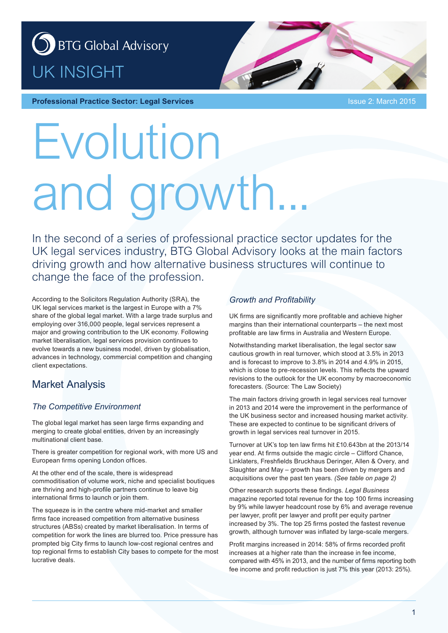



# Evolution and growth

In the second of a series of professional practice sector updates for the UK legal services industry, BTG Global Advisory looks at the main factors driving growth and how alternative business structures will continue to change the face of the profession.

According to the Solicitors Regulation Authority (SRA), the UK legal services market is the largest in Europe with a 7% share of the global legal market. With a large trade surplus and employing over 316,000 people, legal services represent a major and growing contribution to the UK economy. Following market liberalisation, legal services provision continues to evolve towards a new business model, driven by globalisation, advances in technology, commercial competition and changing client expectations.

## Market Analysis

#### *The Competitive Environment*

The global legal market has seen large firms expanding and merging to create global entities, driven by an increasingly multinational client base.

There is greater competition for regional work, with more US and European firms opening London offices.

At the other end of the scale, there is widespread commoditisation of volume work, niche and specialist boutiques are thriving and high-profile partners continue to leave big international firms to launch or join them.

The squeeze is in the centre where mid-market and smaller firms face increased competition from alternative business structures (ABSs) created by market liberalisation. In terms of competition for work the lines are blurred too. Price pressure has prompted big City firms to launch low-cost regional centres and top regional firms to establish City bases to compete for the most lucrative deals.

#### *Growth and Profitability*

UK firms are significantly more profitable and achieve higher margins than their international counterparts – the next most profitable are law firms in Australia and Western Europe.

Notwithstanding market liberalisation, the legal sector saw cautious growth in real turnover, which stood at 3.5% in 2013 and is forecast to improve to 3.8% in 2014 and 4.9% in 2015, which is close to pre-recession levels. This reflects the upward revisions to the outlook for the UK economy by macroeconomic forecasters. (Source: The Law Society)

The main factors driving growth in legal services real turnover in 2013 and 2014 were the improvement in the performance of the UK business sector and increased housing market activity. These are expected to continue to be significant drivers of growth in legal services real turnover in 2015.

Turnover at UK's top ten law firms hit £10.643bn at the 2013/14 year end. At firms outside the magic circle – Clifford Chance, Linklaters, Freshfields Bruckhaus Deringer, Allen & Overy, and Slaughter and May – growth has been driven by mergers and acquisitions over the past ten years. *(See table on page 2)*

Other research supports these findings. *Legal Business* magazine reported total revenue for the top 100 firms increasing by 9% while lawyer headcount rose by 6% and average revenue per lawyer, profit per lawyer and profit per equity partner increased by 3%. The top 25 firms posted the fastest revenue growth, although turnover was inflated by large-scale mergers.

Profit margins increased in 2014: 58% of firms recorded profit increases at a higher rate than the increase in fee income, compared with 45% in 2013, and the number of firms reporting both fee income and profit reduction is just 7% this year (2013: 25%).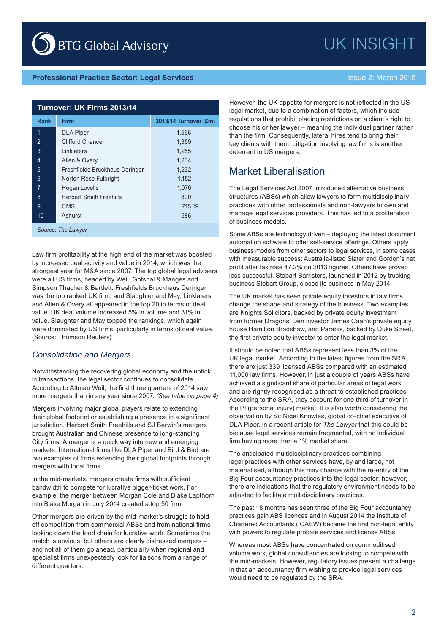#### **Professional Practice Sector: Legal Services Intervention of the Issue 2: March 2015**

| Turnover: UK Firms 2013/14 |                                |                       |  |  |  |  |  |
|----------------------------|--------------------------------|-----------------------|--|--|--|--|--|
| <b>Rank</b>                | <b>Firm</b>                    | 2013/14 Turnover (£m) |  |  |  |  |  |
| 1                          | <b>DLA Piper</b>               | 1,566                 |  |  |  |  |  |
| 2                          | <b>Clifford Chance</b>         | 1,359                 |  |  |  |  |  |
| 3                          | Linklaters                     | 1,255                 |  |  |  |  |  |
| 4                          | Allen & Overy                  | 1,234                 |  |  |  |  |  |
| 5                          | Freshfields Bruckhaus Deringer | 1,232                 |  |  |  |  |  |
| 6                          | Norton Rose Fulbright          | 1,152                 |  |  |  |  |  |
| 7                          | Hogan Lovells                  | 1,070                 |  |  |  |  |  |
| 8                          | <b>Herbert Smith Freehills</b> | 800                   |  |  |  |  |  |
| 9                          | <b>CMS</b>                     | 715.19                |  |  |  |  |  |
| 10                         | Ashurst                        | 586                   |  |  |  |  |  |

*Source: The Lawyer*

Law firm profitability at the high end of the market was boosted by increased deal activity and value in 2014, which was the strongest year for M&A since 2007. The top global legal advisers were all US firms, headed by Weil, Gotshal & Manges and Simpson Thacher & Bartlett. Freshfields Bruckhaus Deringer was the top ranked UK firm, and Slaughter and May, Linklaters and Allen & Overy all appeared in the top 20 in terms of deal value. UK deal volume increased 5% in volume and 31% in value. Slaughter and May topped the rankings, which again were dominated by US firms, particularly in terms of deal value. (Source: Thomson Reuters)

#### *Consolidation and Mergers*

Notwithstanding the recovering global economy and the uptick in transactions, the legal sector continues to consolidate. According to Altman Weil, the first three quarters of 2014 saw more mergers than in any year since 2007. *(See table on page 4)*

Mergers involving major global players relate to extending their global footprint or establishing a presence in a significant jurisdiction. Herbert Smith Freehills and SJ Berwin's mergers brought Australian and Chinese presence to long-standing City firms. A merger is a quick way into new and emerging markets. International firms like DLA Piper and Bird & Bird are two examples of firms extending their global footprints through mergers with local firms.

In the mid-markets, mergers create firms with sufficient bandwidth to compete for lucrative bigger-ticket work. For example, the merger between Morgan Cole and Blake Lapthorn into Blake Morgan in July 2014 created a top 50 firm.

Other mergers are driven by the mid-market's struggle to hold off competition from commercial ABSs and from national firms looking down the food chain for lucrative work. Sometimes the match is obvious, but others are clearly distressed mergers – and not all of them go ahead, particularly when regional and specialist firms unexpectedly look for liaisons from a range of different quarters.

However, the UK appetite for mergers is not reflected in the US legal market, due to a combination of factors, which include regulations that prohibit placing restrictions on a client's right to choose his or her lawyer – meaning the individual partner rather than the firm. Consequently, lateral hires tend to bring their key clients with them. Litigation involving law firms is another deterrent to US mergers.

### Market Liberalisation

The Legal Services Act 2007 introduced alternative business structures (ABSs) which allow lawyers to form multidisciplinary practices with other professionals and non-lawyers to own and manage legal services providers. This has led to a proliferation of business models.

Some ABSs are technology driven – deploying the latest document automation software to offer self-service offerings. Others apply business models from other sectors to legal services, in some cases with measurable success: Australia-listed Slater and Gordon's net profit after tax rose 47.2% on 2013 figures. Others have proved less successful. Stobart Barristers, launched in 2012 by trucking business Stobart Group, closed its business in May 2014.

The UK market has seen private equity investors in law firms change the shape and strategy of the business. Two examples are Knights Solicitors, backed by private equity investment from former Dragons' Den investor James Caan's private equity house Hamilton Bradshaw, and Parabis, backed by Duke Street, the first private equity investor to enter the legal market.

It should be noted that ABSs represent less than 3% of the UK legal market. According to the latest figures from the SRA, there are just 339 licensed ABSs compared with an estimated 11,000 law firms. However, in just a couple of years ABSs have achieved a significant share of particular areas of legal work and are rightly recognised as a threat to established practices. According to the SRA, they account for one third of turnover in the PI (personal injury) market. It is also worth considering the observation by Sir Nigel Knowles, global co-chief executive of DLA Piper, in a recent article for *The Lawyer* that this could be because legal services remain fragmented, with no individual firm having more than a 1% market share.

The anticipated multidisciplinary practices combining legal practices with other services have, by and large, not materialised, although this may change with the re-entry of the Big Four accountancy practices into the legal sector; however, there are indications that the regulatory environment needs to be adjusted to facilitate multidisciplinary practices.

The past 18 months has seen three of the Big Four accountancy practices gain ABS licences and in August 2014 the Institute of Chartered Accountants (ICAEW) became the first non-legal entity with powers to regulate probate services and license ABSs.

Whereas most ABSs have concentrated on commoditised volume work, global consultancies are looking to compete with the mid-markets. However, regulatory issues present a challenge in that an accountancy firm wishing to provide legal services would need to be regulated by the SRA.

UK INSIGHT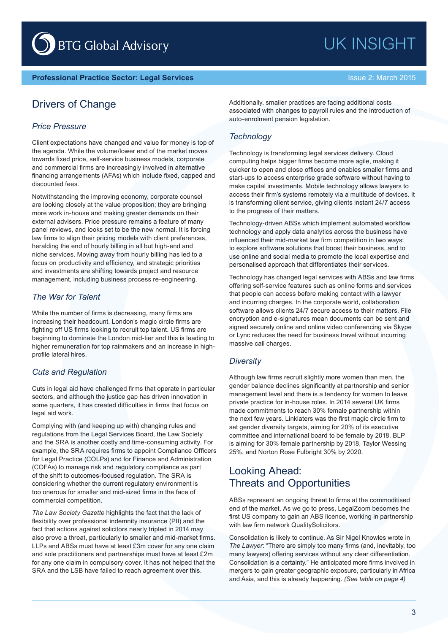# UK INSIGHT

### Drivers of Change

#### *Price Pressure*

Client expectations have changed and value for money is top of the agenda. While the volume/lower end of the market moves towards fixed price, self-service business models, corporate and commercial firms are increasingly involved in alternative financing arrangements (AFAs) which include fixed, capped and discounted fees.

Notwithstanding the improving economy, corporate counsel are looking closely at the value proposition; they are bringing more work in-house and making greater demands on their external advisers. Price pressure remains a feature of many panel reviews, and looks set to be the new normal. It is forcing law firms to align their pricing models with client preferences, heralding the end of hourly billing in all but high-end and niche services. Moving away from hourly billing has led to a focus on productivity and efficiency, and strategic priorities and investments are shifting towards project and resource management, including business process re-engineering.

#### *The War for Talent*

While the number of firms is decreasing, many firms are increasing their headcount. London's magic circle firms are fighting off US firms looking to recruit top talent. US firms are beginning to dominate the London mid-tier and this is leading to higher remuneration for top rainmakers and an increase in highprofile lateral hires.

#### *Cuts and Regulation*

Cuts in legal aid have challenged firms that operate in particular sectors, and although the justice gap has driven innovation in some quarters, it has created difficulties in firms that focus on legal aid work.

Complying with (and keeping up with) changing rules and regulations from the Legal Services Board, the Law Society and the SRA is another costly and time-consuming activity. For example, the SRA requires firms to appoint Compliance Officers for Legal Practice (COLPs) and for Finance and Administration (COFAs) to manage risk and regulatory compliance as part of the shift to outcomes-focused regulation. The SRA is considering whether the current regulatory environment is too onerous for smaller and mid-sized firms in the face of commercial competition.

*The Law Society Gazette* highlights the fact that the lack of flexibility over professional indemnity insurance (PII) and the fact that actions against solicitors nearly tripled in 2014 may also prove a threat, particularly to smaller and mid-market firms. LLPs and ABSs must have at least £3m cover for any one claim and sole practitioners and partnerships must have at least £2m for any one claim in compulsory cover. It has not helped that the SRA and the LSB have failed to reach agreement over this.

Additionally, smaller practices are facing additional costs associated with changes to payroll rules and the introduction of auto-enrolment pension legislation.

#### *Technology*

Technology is transforming legal services delivery. Cloud computing helps bigger firms become more agile, making it quicker to open and close offices and enables smaller firms and start-ups to access enterprise grade software without having to make capital investments. Mobile technology allows lawyers to access their firm's systems remotely via a multitude of devices. It is transforming client service, giving clients instant 24/7 access to the progress of their matters.

Technology-driven ABSs which implement automated workflow technology and apply data analytics across the business have influenced their mid-market law firm competition in two ways: to explore software solutions that boost their business, and to use online and social media to promote the local expertise and personalised approach that differentiates their services.

Technology has changed legal services with ABSs and law firms offering self-service features such as online forms and services that people can access before making contact with a lawyer and incurring charges. In the corporate world, collaboration software allows clients 24/7 secure access to their matters. File encryption and e-signatures mean documents can be sent and signed securely online and online video conferencing via Skype or Lync reduces the need for business travel without incurring massive call charges.

#### *Diversity*

Although law firms recruit slightly more women than men, the gender balance declines significantly at partnership and senior management level and there is a tendency for women to leave private practice for in-house roles. In 2014 several UK firms made commitments to reach 30% female partnership within the next few years. Linklaters was the first magic circle firm to set gender diversity targets, aiming for 20% of its executive committee and international board to be female by 2018. BLP is aiming for 30% female partnership by 2018, Taylor Wessing 25%, and Norton Rose Fulbright 30% by 2020.

## Looking Ahead: Threats and Opportunities

ABSs represent an ongoing threat to firms at the commoditised end of the market. As we go to press, LegalZoom becomes the first US company to gain an ABS licence, working in partnership with law firm network QualitySolicitors.

Consolidation is likely to continue. As Sir Nigel Knowles wrote in *The Lawyer*: "There are simply too many firms (and, inevitably, too many lawyers) offering services without any clear differentiation. Consolidation is a certainty." He anticipated more firms involved in mergers to gain greater geographic exposure, particularly in Africa and Asia, and this is already happening. *(See table on page 4)*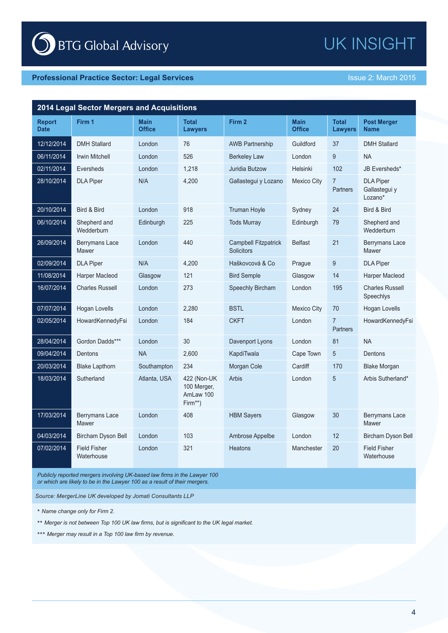## UK INSIGHT

| 2014 Legal Sector Mergers and Acquisitions |                                   |                              |                                                    |                                                  |                              |                                   |                                              |  |  |  |
|--------------------------------------------|-----------------------------------|------------------------------|----------------------------------------------------|--------------------------------------------------|------------------------------|-----------------------------------|----------------------------------------------|--|--|--|
| <b>Report</b><br><b>Date</b>               | Firm 1                            | <b>Main</b><br><b>Office</b> | <b>Total</b><br><b>Lawyers</b>                     | Firm 2                                           | <b>Main</b><br><b>Office</b> | <b>Total</b><br><b>Lawyers</b>    | <b>Post Merger</b><br><b>Name</b>            |  |  |  |
| 12/12/2014                                 | <b>DMH Stallard</b>               | London                       | 76                                                 | <b>AWB Partnership</b>                           | Guildford                    | 37                                | <b>DMH Stallard</b>                          |  |  |  |
| 06/11/2014                                 | <b>Irwin Mitchell</b>             | London                       | 526                                                | <b>Berkeley Law</b>                              | London                       | 9                                 | <b>NA</b>                                    |  |  |  |
| 02/11/2014                                 | Eversheds                         | London                       | 1.218                                              | Juridia Butzow                                   | Helsinki                     | 102                               | JB Eversheds*                                |  |  |  |
| 28/10/2014                                 | <b>DLA Piper</b>                  | N/A                          | 4,200                                              | Gallastegui y Lozano                             | <b>Mexico City</b>           | $\overline{7}$<br><b>Partners</b> | <b>DLA Piper</b><br>Gallastegui y<br>Lozano* |  |  |  |
| 20/10/2014                                 | Bird & Bird                       | London                       | 918                                                | <b>Truman Hoyle</b>                              | Sydney                       | 24                                | Bird & Bird                                  |  |  |  |
| 06/10/2014                                 | Shepherd and<br>Wedderburn        | Edinburgh                    | 225                                                | <b>Tods Murray</b>                               | Edinburgh                    | 79                                | Shepherd and<br>Wedderburn                   |  |  |  |
| 26/09/2014                                 | Berrymans Lace<br>Mawer           | London                       | 440                                                | <b>Campbell Fitzpatrick</b><br><b>Solicitors</b> | <b>Belfast</b>               | 21                                | Berrymans Lace<br>Mawer                      |  |  |  |
| 02/09/2014                                 | <b>DLA Piper</b>                  | N/A                          | 4,200                                              | Haškovcová & Co                                  | Prague                       | 9                                 | <b>DLA Piper</b>                             |  |  |  |
| 11/08/2014                                 | Harper Macleod                    | Glasgow                      | 121                                                | <b>Bird Semple</b>                               | Glasgow                      | 14                                | Harper Macleod                               |  |  |  |
| 16/07/2014                                 | <b>Charles Russell</b>            | London                       | 273                                                | Speechly Bircham                                 | London                       | 195                               | <b>Charles Russell</b><br>Speechlys          |  |  |  |
| 07/07/2014                                 | Hogan Lovells                     | London                       | 2,280                                              | <b>BSTL</b>                                      | <b>Mexico City</b>           | 70                                | Hogan Lovells                                |  |  |  |
| 02/05/2014                                 | HowardKennedyFsi                  | London                       | 184                                                | <b>CKFT</b>                                      | London                       | $\overline{7}$<br><b>Partners</b> | HowardKennedyFsi                             |  |  |  |
| 28/04/2014                                 | Gordon Dadds***                   | London                       | 30                                                 | Davenport Lyons                                  | London                       | 81                                | <b>NA</b>                                    |  |  |  |
| 09/04/2014                                 | Dentons                           | <b>NA</b>                    | 2,600                                              | KapdiTwala                                       | Cape Town                    | 5                                 | Dentons                                      |  |  |  |
| 20/03/2014                                 | <b>Blake Lapthorn</b>             | Southampton                  | 234                                                | Morgan Cole                                      | Cardiff                      | 170                               | <b>Blake Morgan</b>                          |  |  |  |
| 18/03/2014                                 | Sutherland                        | Atlanta, USA                 | 422 (Non-UK<br>100 Merger,<br>AmLaw 100<br>Firm**) | <b>Arbis</b>                                     | London                       | 5                                 | Arbis Sutherland*                            |  |  |  |
| 17/03/2014                                 | Berrymans Lace<br>Mawer           | London                       | 408                                                | <b>HBM Sayers</b>                                | Glasgow                      | 30                                | Berrymans Lace<br>Mawer                      |  |  |  |
| 04/03/2014                                 | Bircham Dyson Bell                | London                       | 103                                                | Ambrose Appelbe                                  | London                       | 12                                | <b>Bircham Dyson Bell</b>                    |  |  |  |
| 07/02/2014                                 | <b>Field Fisher</b><br>Waterhouse | London                       | 321                                                | <b>Heatons</b>                                   | Manchester                   | 20                                | <b>Field Fisher</b><br>Waterhouse            |  |  |  |

*Publicly reported mergers involving UK-based law firms in the Lawyer 100 or which are likely to be in the Lawyer 100 as a result of their mergers.*

*Source: MergerLine UK developed by Jomati Consultants LLP*

\* *Name change only for Firm 2.*

\*\* *Merger is not between Top 100 UK law firms, but is significant to the UK legal market.*

\*\*\* *Merger may result in a Top 100 law firm by revenue.*